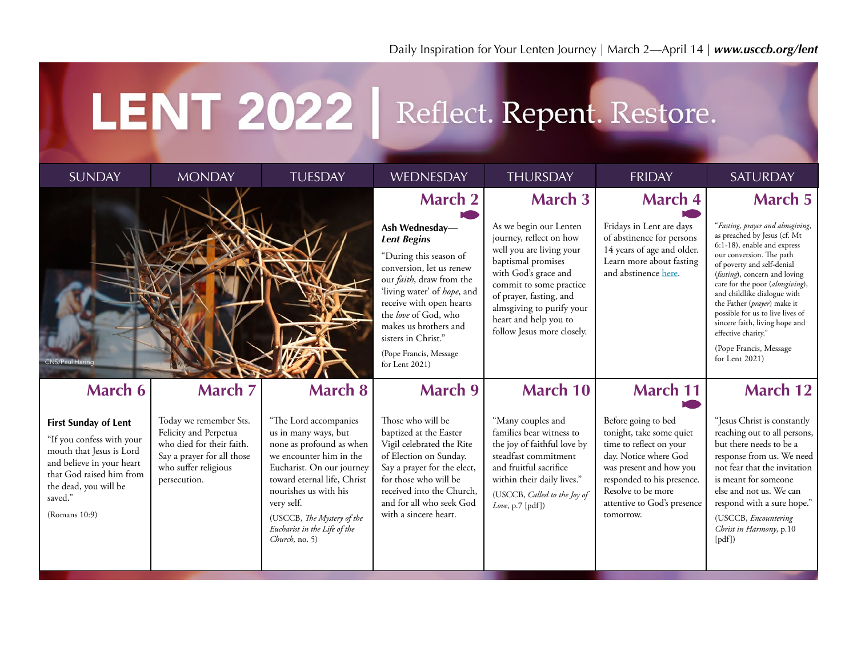## LENT 2022 | Reflect. Repent. Restore.

| <b>SUNDAY</b>                                                                                                                                                                                      | <b>MONDAY</b>                                                                                                                                      | <b>TUESDAY</b>                                                                                                                                                                                                                                                                          | WEDNESDAY                                                                                                                                                                                                                                                                                                                       | <b>THURSDAY</b>                                                                                                                                                                                                                                                                         | <b>FRIDAY</b>                                                                                                                                                                                                                  | <b>SATURDAY</b>                                                                                                                                                                                                                                                                                                                                                                                                                                                 |
|----------------------------------------------------------------------------------------------------------------------------------------------------------------------------------------------------|----------------------------------------------------------------------------------------------------------------------------------------------------|-----------------------------------------------------------------------------------------------------------------------------------------------------------------------------------------------------------------------------------------------------------------------------------------|---------------------------------------------------------------------------------------------------------------------------------------------------------------------------------------------------------------------------------------------------------------------------------------------------------------------------------|-----------------------------------------------------------------------------------------------------------------------------------------------------------------------------------------------------------------------------------------------------------------------------------------|--------------------------------------------------------------------------------------------------------------------------------------------------------------------------------------------------------------------------------|-----------------------------------------------------------------------------------------------------------------------------------------------------------------------------------------------------------------------------------------------------------------------------------------------------------------------------------------------------------------------------------------------------------------------------------------------------------------|
| CNS/Paul Harino                                                                                                                                                                                    |                                                                                                                                                    |                                                                                                                                                                                                                                                                                         | <b>March 2</b><br>Ash Wednesday-<br><b>Lent Begins</b><br>"During this season of<br>conversion, let us renew<br>our <i>faith</i> , draw from the<br>'living water' of hope, and<br>receive with open hearts<br>the love of God, who<br>makes us brothers and<br>sisters in Christ."<br>(Pope Francis, Message<br>for Lent 2021) | <b>March 3</b><br>As we begin our Lenten<br>journey, reflect on how<br>well you are living your<br>baptismal promises<br>with God's grace and<br>commit to some practice<br>of prayer, fasting, and<br>almsgiving to purify your<br>heart and help you to<br>follow Jesus more closely. | <b>March 4</b><br>Fridays in Lent are days<br>of abstinence for persons<br>14 years of age and older.<br>Learn more about fasting<br>and abstinence here.                                                                      | <b>March 5</b><br>"Fasting, prayer and almsgiving,<br>as preached by Jesus (cf. Mt<br>6:1-18), enable and express<br>our conversion. The path<br>of poverty and self-denial<br>( <i>fasting</i> ), concern and loving<br>care for the poor (almsgiving),<br>and childlike dialogue with<br>the Father (prayer) make it<br>possible for us to live lives of<br>sincere faith, living hope and<br>effective charity."<br>(Pope Francis, Message<br>for Lent 2021) |
| <b>March 6</b>                                                                                                                                                                                     | <b>March 7</b>                                                                                                                                     | <b>March 8</b>                                                                                                                                                                                                                                                                          | <b>March 9</b>                                                                                                                                                                                                                                                                                                                  | <b>March 10</b>                                                                                                                                                                                                                                                                         | <b>March 11</b>                                                                                                                                                                                                                | <b>March 12</b>                                                                                                                                                                                                                                                                                                                                                                                                                                                 |
| <b>First Sunday of Lent</b><br>"If you confess with your<br>mouth that Jesus is Lord<br>and believe in your heart<br>that God raised him from<br>the dead, you will be<br>saved."<br>(Romans 10:9) | Today we remember Sts.<br>Felicity and Perpetua<br>who died for their faith.<br>Say a prayer for all those<br>who suffer religious<br>persecution. | "The Lord accompanies<br>us in many ways, but<br>none as profound as when<br>we encounter him in the<br>Eucharist. On our journey<br>toward eternal life, Christ<br>nourishes us with his<br>very self.<br>(USCCB, The Mystery of the<br>Eucharist in the Life of the<br>Church, no. 5) | Those who will be<br>baptized at the Easter<br>Vigil celebrated the Rite<br>of Election on Sunday.<br>Say a prayer for the elect,<br>for those who will be<br>received into the Church.<br>and for all who seek God<br>with a sincere heart.                                                                                    | "Many couples and<br>families bear witness to<br>the joy of faithful love by<br>steadfast commitment<br>and fruitful sacrifice<br>within their daily lives."<br>(USCCB, Called to the Joy of<br>Love, p.7 [pdf])                                                                        | Before going to bed<br>tonight, take some quiet<br>time to reflect on your<br>day. Notice where God<br>was present and how you<br>responded to his presence.<br>Resolve to be more<br>attentive to God's presence<br>tomorrow. | "Jesus Christ is constantly<br>reaching out to all persons,<br>but there needs to be a<br>response from us. We need<br>not fear that the invitation<br>is meant for someone<br>else and not us. We can<br>respond with a sure hope."<br>(USCCB, Encountering<br>Christ in Harmony, p.10<br>[pdf]                                                                                                                                                                |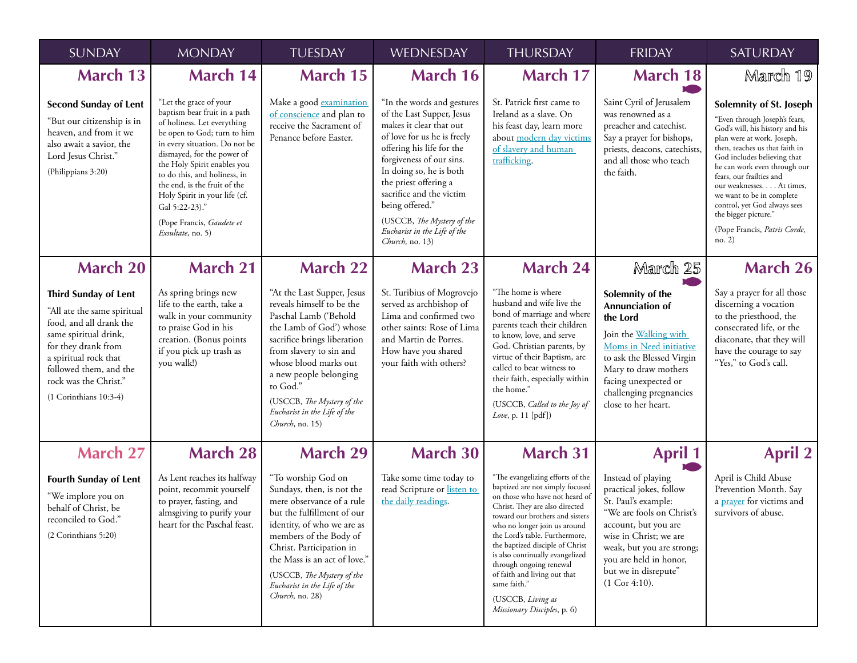| <b>SUNDAY</b>                                                                                                                                                                                                                                   | <b>MONDAY</b>                                                                                                                                                                                                                                                                                                                                                                           | <b>TUESDAY</b>                                                                                                                                                                                                                                                                                                        | WEDNESDAY                                                                                                                                                                                                                                                                                                                                                      | <b>THURSDAY</b>                                                                                                                                                                                                                                                                                                                                                                                                                                   | <b>FRIDAY</b>                                                                                                                                                                                                                                         | <b>SATURDAY</b>                                                                                                                                                                                                                                                                                                                                                                                                    |
|-------------------------------------------------------------------------------------------------------------------------------------------------------------------------------------------------------------------------------------------------|-----------------------------------------------------------------------------------------------------------------------------------------------------------------------------------------------------------------------------------------------------------------------------------------------------------------------------------------------------------------------------------------|-----------------------------------------------------------------------------------------------------------------------------------------------------------------------------------------------------------------------------------------------------------------------------------------------------------------------|----------------------------------------------------------------------------------------------------------------------------------------------------------------------------------------------------------------------------------------------------------------------------------------------------------------------------------------------------------------|---------------------------------------------------------------------------------------------------------------------------------------------------------------------------------------------------------------------------------------------------------------------------------------------------------------------------------------------------------------------------------------------------------------------------------------------------|-------------------------------------------------------------------------------------------------------------------------------------------------------------------------------------------------------------------------------------------------------|--------------------------------------------------------------------------------------------------------------------------------------------------------------------------------------------------------------------------------------------------------------------------------------------------------------------------------------------------------------------------------------------------------------------|
| <b>March 13</b>                                                                                                                                                                                                                                 | <b>March 14</b>                                                                                                                                                                                                                                                                                                                                                                         | <b>March 15</b>                                                                                                                                                                                                                                                                                                       | <b>March 16</b>                                                                                                                                                                                                                                                                                                                                                | <b>March 17</b>                                                                                                                                                                                                                                                                                                                                                                                                                                   | <b>March 18</b>                                                                                                                                                                                                                                       | March 19                                                                                                                                                                                                                                                                                                                                                                                                           |
| <b>Second Sunday of Lent</b><br>"But our citizenship is in<br>heaven, and from it we<br>also await a savior, the<br>Lord Jesus Christ."<br>(Philippians 3:20)                                                                                   | "Let the grace of your<br>baptism bear fruit in a path<br>of holiness. Let everything<br>be open to God; turn to him<br>in every situation. Do not be<br>dismayed, for the power of<br>the Holy Spirit enables you<br>to do this, and holiness, in<br>the end, is the fruit of the<br>Holy Spirit in your life (cf.<br>Gal 5:22-23)."<br>(Pope Francis, Gaudete et<br>Exsultate, no. 5) | Make a good examination<br>of conscience and plan to<br>receive the Sacrament of<br>Penance before Easter.                                                                                                                                                                                                            | "In the words and gestures<br>of the Last Supper, Jesus<br>makes it clear that out<br>of love for us he is freely<br>offering his life for the<br>forgiveness of our sins.<br>In doing so, he is both<br>the priest offering a<br>sacrifice and the victim<br>being offered."<br>(USCCB, The Mystery of the<br>Eucharist in the Life of the<br>Church, no. 13) | St. Patrick first came to<br>Ireland as a slave. On<br>his feast day, learn more<br>about modern day victims<br>of slavery and human<br>trafficking.                                                                                                                                                                                                                                                                                              | Saint Cyril of Jerusalem<br>was renowned as a<br>preacher and catechist.<br>Say a prayer for bishops,<br>priests, deacons, catechists,<br>and all those who teach<br>the faith.                                                                       | Solemnity of St. Joseph<br>"Even through Joseph's fears,<br>God's will, his history and his<br>plan were at work. Joseph,<br>then, teaches us that faith in<br>God includes believing that<br>he can work even through our<br>fears, our frailties and<br>our weaknesses. At times,<br>we want to be in complete<br>control, yet God always sees<br>the bigger picture."<br>(Pope Francis, Patris Corde,<br>no. 2) |
| <b>March 20</b>                                                                                                                                                                                                                                 | <b>March 21</b>                                                                                                                                                                                                                                                                                                                                                                         | <b>March 22</b>                                                                                                                                                                                                                                                                                                       | <b>March 23</b>                                                                                                                                                                                                                                                                                                                                                | <b>March 24</b>                                                                                                                                                                                                                                                                                                                                                                                                                                   | March 25                                                                                                                                                                                                                                              | <b>March 26</b>                                                                                                                                                                                                                                                                                                                                                                                                    |
| <b>Third Sunday of Lent</b><br>"All ate the same spiritual<br>food, and all drank the<br>same spiritual drink,<br>for they drank from<br>a spiritual rock that<br>followed them, and the<br>rock was the Christ."<br>$(1$ Corinthians $10:3-4)$ | As spring brings new<br>life to the earth, take a<br>walk in your community<br>to praise God in his<br>creation. (Bonus points<br>if you pick up trash as<br>you walk!)                                                                                                                                                                                                                 | "At the Last Supper, Jesus<br>reveals himself to be the<br>Paschal Lamb ('Behold<br>the Lamb of God') whose<br>sacrifice brings liberation<br>from slavery to sin and<br>whose blood marks out<br>a new people belonging<br>to God."<br>(USCCB, The Mystery of the<br>Eucharist in the Life of the<br>Church, no. 15) | St. Turibius of Mogrovejo<br>served as archbishop of<br>Lima and confirmed two<br>other saints: Rose of Lima<br>and Martin de Porres.<br>How have you shared<br>your faith with others?                                                                                                                                                                        | "The home is where<br>husband and wife live the<br>bond of marriage and where<br>parents teach their children<br>to know, love, and serve<br>God. Christian parents, by<br>virtue of their Baptism, are<br>called to bear witness to<br>their faith, especially within<br>the home."<br>(USCCB, Called to the Joy of<br>Love, p. 11 [pdf])                                                                                                        | Solemnity of the<br>Annunciation of<br>the Lord<br>Join the Walking with<br>Moms in Need initiative<br>to ask the Blessed Virgin<br>Mary to draw mothers<br>facing unexpected or<br>challenging pregnancies<br>close to her heart.                    | Say a prayer for all those<br>discerning a vocation<br>to the priesthood, the<br>consecrated life, or the<br>diaconate, that they will<br>have the courage to say<br>"Yes," to God's call.                                                                                                                                                                                                                         |
| <b>March 27</b>                                                                                                                                                                                                                                 | <b>March 28</b>                                                                                                                                                                                                                                                                                                                                                                         | <b>March 29</b>                                                                                                                                                                                                                                                                                                       | <b>March 30</b>                                                                                                                                                                                                                                                                                                                                                | <b>March 31</b>                                                                                                                                                                                                                                                                                                                                                                                                                                   | <b>April 1</b>                                                                                                                                                                                                                                        | <b>April 2</b>                                                                                                                                                                                                                                                                                                                                                                                                     |
| <b>Fourth Sunday of Lent</b><br>"We implore you on<br>behalf of Christ, be<br>reconciled to God."<br>(2 Corinthians 5:20)                                                                                                                       | As Lent reaches its halfway<br>point, recommit yourself<br>to prayer, fasting, and<br>almsgiving to purify your<br>heart for the Paschal feast.                                                                                                                                                                                                                                         | "To worship God on<br>Sundays, then, is not the<br>mere observance of a rule<br>but the fulfillment of our<br>identity, of who we are as<br>members of the Body of<br>Christ. Participation in<br>the Mass is an act of love."<br>(USCCB, The Mystery of the<br>Eucharist in the Life of the<br>Church, no. 28)       | Take some time today to<br>read Scripture or listen to<br>the daily readings.                                                                                                                                                                                                                                                                                  | "The evangelizing efforts of the<br>baptized are not simply focused<br>on those who have not heard of<br>Christ. They are also directed<br>toward our brothers and sisters<br>who no longer join us around<br>the Lord's table. Furthermore,<br>the baptized disciple of Christ<br>is also continually evangelized<br>through ongoing renewal<br>of faith and living out that<br>same faith."<br>(USCCB, Living as<br>Missionary Disciples, p. 6) | Instead of playing<br>practical jokes, follow<br>St. Paul's example:<br>"We are fools on Christ's<br>account, but you are<br>wise in Christ; we are<br>weak, but you are strong;<br>you are held in honor,<br>but we in disrepute"<br>$(1$ Cor 4:10). | April is Child Abuse<br>Prevention Month. Say<br>a prayer for victims and<br>survivors of abuse.                                                                                                                                                                                                                                                                                                                   |